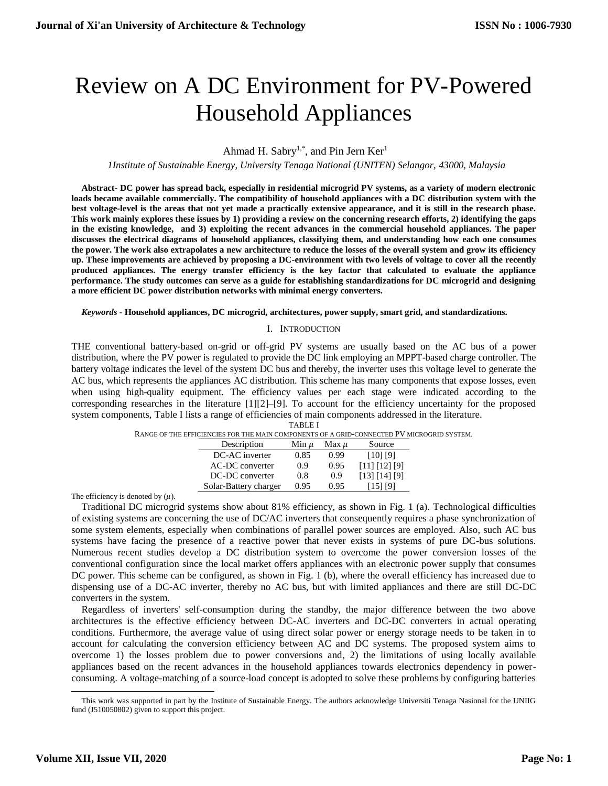# Review on A DC Environment for PV-Powered Household Appliances

# Ahmad H. Sabry<sup>1,\*</sup>, and Pin Jern Ker<sup>1</sup>

*1Institute of Sustainable Energy, University Tenaga National (UNITEN) Selangor, 43000, Malaysia*

**Abstract- DC power has spread back, especially in residential microgrid PV systems, as a variety of modern electronic loads became available commercially. The compatibility of household appliances with a DC distribution system with the best voltage-level is the areas that not yet made a practically extensive appearance, and it is still in the research phase. This work mainly explores these issues by 1) providing a review on the concerning research efforts, 2) identifying the gaps in the existing knowledge, and 3) exploiting the recent advances in the commercial household appliances. The paper discusses the electrical diagrams of household appliances, classifying them, and understanding how each one consumes the power. The work also extrapolates a new architecture to reduce the losses of the overall system and grow its efficiency up. These improvements are achieved by proposing a DC-environment with two levels of voltage to cover all the recently produced appliances. The energy transfer efficiency is the key factor that calculated to evaluate the appliance performance. The study outcomes can serve as a guide for establishing standardizations for DC microgrid and designing a more efficient DC power distribution networks with minimal energy converters.**

#### *Keywords -* **Household appliances, DC microgrid, architectures, power supply, smart grid, and standardizations.**

# I. INTRODUCTION

THE conventional battery-based on-grid or off-grid PV systems are usually based on the AC bus of a power distribution, where the PV power is regulated to provide the DC link employing an MPPT-based charge controller. The battery voltage indicates the level of the system DC bus and thereby, the inverter uses this voltage level to generate the AC bus, which represents the appliances AC distribution. This scheme has many components that expose losses, even when using high-quality equipment. The efficiency values per each stage were indicated according to the corresponding researches in the literature [1][2]–[9]. To account for the efficiency uncertainty for the proposed system components, Table I lists a range of efficiencies of main components addressed in the literature. TABLE I

| RANGE OF THE EFFICIENCIES FOR THE MAIN COMPONENTS OF A GRID-CONNECTED PV MICROGRID SYSTEM. |           |           |                     |  |
|--------------------------------------------------------------------------------------------|-----------|-----------|---------------------|--|
| Description                                                                                | Min $\mu$ | Max $\mu$ | Source              |  |
| DC-AC inverter                                                                             | 0.85      | 0.99      | [10] [9]            |  |
| AC-DC converter                                                                            | 0.9       | 0.95      | [11] [12] [9]       |  |
| DC-DC converter                                                                            | 0.8       | 0.9       | $[13]$ $[14]$ $[9]$ |  |
| Solar-Battery charger                                                                      | 0.95      | 0.95      | [15] [9]            |  |

The efficiency is denoted by  $(\mu)$ .

Traditional DC microgrid systems show about 81% efficiency, as shown in [Fig. 1](#page-1-0) (a). Technological difficulties of existing systems are concerning the use of DC/AC inverters that consequently requires a phase synchronization of some system elements, especially when combinations of parallel power sources are employed. Also, such AC bus systems have facing the presence of a reactive power that never exists in systems of pure DC-bus solutions. Numerous recent studies develop a DC distribution system to overcome the power conversion losses of the conventional configuration since the local market offers appliances with an electronic power supply that consumes DC power. This scheme can be configured, as shown in [Fig. 1](#page-1-0) (b), where the overall efficiency has increased due to dispensing use of a DC-AC inverter, thereby no AC bus, but with limited appliances and there are still DC-DC converters in the system.

Regardless of inverters' self-consumption during the standby, the major difference between the two above architectures is the effective efficiency between DC-AC inverters and DC-DC converters in actual operating conditions. Furthermore, the average value of using direct solar power or energy storage needs to be taken in to account for calculating the conversion efficiency between AC and DC systems. The proposed system aims to overcome 1) the losses problem due to power conversions and, 2) the limitations of using locally available appliances based on the recent advances in the household appliances towards electronics dependency in powerconsuming. A voltage-matching of a source-load concept is adopted to solve these problems by configuring batteries

 $\overline{a}$ This work was supported in part by the Institute of Sustainable Energy. The authors acknowledge Universiti Tenaga Nasional for the UNIIG fund (J510050802) given to support this project.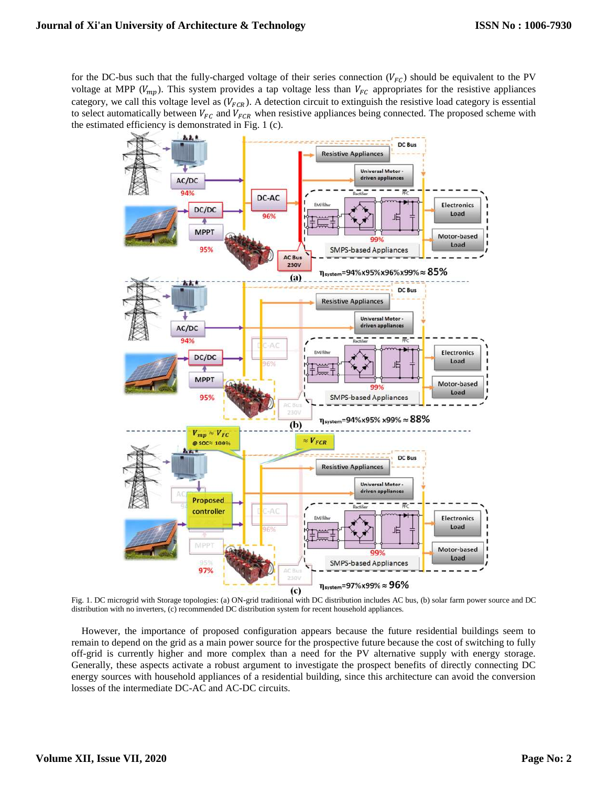for the DC-bus such that the fully-charged voltage of their series connection  $(V_{FC})$  should be equivalent to the PV voltage at MPP ( $V_{mp}$ ). This system provides a tap voltage less than  $V_{FC}$  appropriates for the resistive appliances category, we call this voltage level as  $(V_{FCR})$ . A detection circuit to extinguish the resistive load category is essential to select automatically between  $V_{FC}$  and  $V_{FCR}$  when resistive appliances being connected. The proposed scheme with the estimated efficiency is demonstrated in [Fig. 1](#page-1-0) (c).



<span id="page-1-0"></span>Fig. 1. DC microgrid with Storage topologies: (a) ON-grid traditional with DC distribution includes AC bus, (b) solar farm power source and DC distribution with no inverters, (c) recommended DC distribution system for recent household appliances.

However, the importance of proposed configuration appears because the future residential buildings seem to remain to depend on the grid as a main power source for the prospective future because the cost of switching to fully off-grid is currently higher and more complex than a need for the PV alternative supply with energy storage. Generally, these aspects activate a robust argument to investigate the prospect benefits of directly connecting DC energy sources with household appliances of a residential building, since this architecture can avoid the conversion losses of the intermediate DC-AC and AC-DC circuits.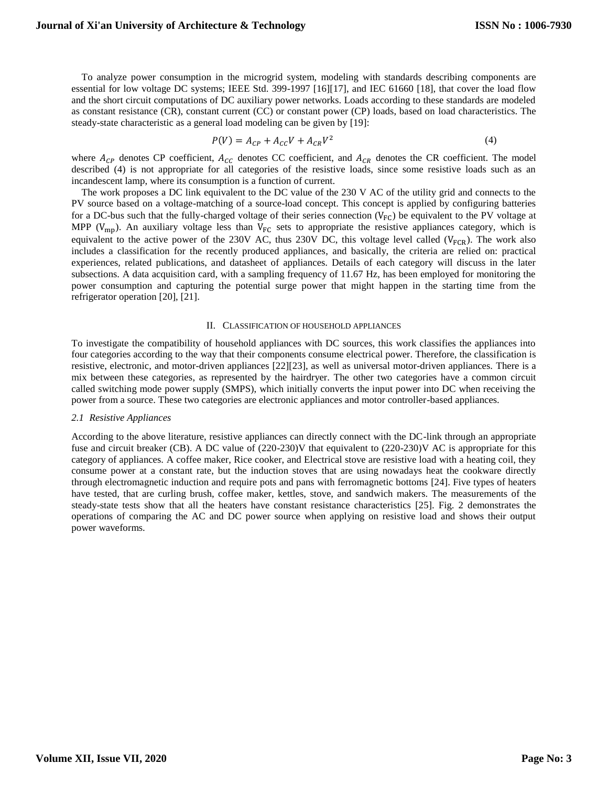To analyze power consumption in the microgrid system, modeling with standards describing components are essential for low voltage DC systems; IEEE Std. 399-1997 [16][17], and IEC 61660 [18], that cover the load flow and the short circuit computations of DC auxiliary power networks. Loads according to these standards are modeled as constant resistance (CR), constant current (CC) or constant power (CP) loads, based on load characteristics. The steady-state characteristic as a general load modeling can be given by [19]:

$$
P(V) = A_{CP} + A_{CC}V + A_{CR}V^2
$$
\n(4)

where  $A_{CP}$  denotes CP coefficient,  $A_{CC}$  denotes CC coefficient, and  $A_{CR}$  denotes the CR coefficient. The model described (4) is not appropriate for all categories of the resistive loads, since some resistive loads such as an incandescent lamp, where its consumption is a function of current.

The work proposes a DC link equivalent to the DC value of the 230 V AC of the utility grid and connects to the PV source based on a voltage-matching of a source-load concept. This concept is applied by configuring batteries for a DC-bus such that the fully-charged voltage of their series connection  $(V_{FC})$  be equivalent to the PV voltage at MPP ( $V_{\rm mp}$ ). An auxiliary voltage less than  $V_{\rm FC}$  sets to appropriate the resistive appliances category, which is equivalent to the active power of the 230V AC, thus 230V DC, this voltage level called ( $V_{FCR}$ ). The work also includes a classification for the recently produced appliances, and basically, the criteria are relied on: practical experiences, related publications, and datasheet of appliances. Details of each category will discuss in the later subsections. A data acquisition card, with a sampling frequency of 11.67 Hz, has been employed for monitoring the power consumption and capturing the potential surge power that might happen in the starting time from the refrigerator operation [20], [21].

#### II. CLASSIFICATION OF HOUSEHOLD APPLIANCES

To investigate the compatibility of household appliances with DC sources, this work classifies the appliances into four categories according to the way that their components consume electrical power. Therefore, the classification is resistive, electronic, and motor-driven appliances [22][23], as well as universal motor-driven appliances. There is a mix between these categories, as represented by the hairdryer. The other two categories have a common circuit called switching mode power supply (SMPS), which initially converts the input power into DC when receiving the power from a source. These two categories are electronic appliances and motor controller-based appliances.

#### *2.1 Resistive Appliances*

According to the above literature, resistive appliances can directly connect with the DC-link through an appropriate fuse and circuit breaker (CB). A DC value of (220-230)V that equivalent to (220-230)V AC is appropriate for this category of appliances. A coffee maker, Rice cooker, and Electrical stove are resistive load with a heating coil, they consume power at a constant rate, but the induction stoves that are using nowadays heat the cookware directly through electromagnetic induction and require pots and pans with ferromagnetic bottoms [24]. Five types of heaters have tested, that are curling brush, coffee maker, kettles, stove, and sandwich makers. The measurements of the steady-state tests show that all the heaters have constant resistance characteristics [25]. [Fig. 2](#page-3-0) demonstrates the operations of comparing the AC and DC power source when applying on resistive load and shows their output power waveforms.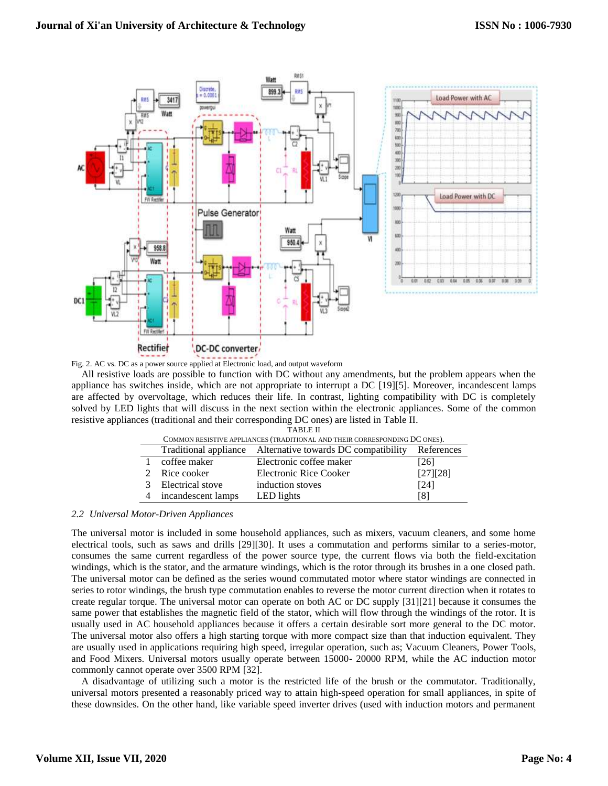

**buck** 

<span id="page-3-0"></span>Fig. 2. AC vs. DC as a power source applied at Electronic load, and output waveform

All resistive loads are possible to function with DC without any amendments, but the problem appears when the appliance has switches inside, which are not appropriate to interrupt a DC [19][5]. Moreover, incandescent lamps are affected by overvoltage, which reduces their life. In contrast, lighting compatibility with DC is completely solved by LED lights that will discuss in the next section within the electronic appliances. Some of the common resistive appliances (traditional and their corresponding DC ones) are listed in Table II.

| <b>TABLE II</b>                                                            |                    |                                                            |            |  |  |
|----------------------------------------------------------------------------|--------------------|------------------------------------------------------------|------------|--|--|
| COMMON RESISTIVE APPLIANCES (TRADITIONAL AND THEIR CORRESPONDING DC ONES). |                    |                                                            |            |  |  |
|                                                                            |                    | Traditional appliance Alternative towards DC compatibility | References |  |  |
|                                                                            | coffee maker       | Electronic coffee maker                                    | [26]       |  |  |
|                                                                            | Rice cooker        | Electronic Rice Cooker                                     | [27][28]   |  |  |
|                                                                            | Electrical stove   | induction stoves                                           | [24]       |  |  |
|                                                                            | incandescent lamps | LED lights                                                 | 181        |  |  |

# *2.2 Universal Motor-Driven Appliances*

The universal motor is included in some household appliances, such as mixers, vacuum cleaners, and some home electrical tools, such as saws and drills [29][30]. It uses a commutation and performs similar to a series-motor, consumes the same current regardless of the power source type, the current flows via both the field-excitation windings, which is the stator, and the armature windings, which is the rotor through its brushes in a one closed path. The universal motor can be defined as the series wound commutated motor where stator windings are connected in series to rotor windings, the brush type commutation enables to reverse the motor current direction when it rotates to create regular torque. The universal motor can operate on both AC or DC supply [31][21] because it consumes the same power that establishes the magnetic field of the stator, which will flow through the windings of the rotor. It is usually used in AC household appliances because it offers a certain desirable sort more general to the DC motor. The universal motor also offers a high starting torque with more compact size than that induction equivalent. They are usually used in applications requiring high speed, irregular operation, such as; Vacuum Cleaners, Power Tools, and Food Mixers. Universal motors usually operate between 15000- 20000 RPM, while the AC induction motor commonly cannot operate over 3500 RPM [32].

A disadvantage of utilizing such a motor is the restricted life of the brush or the commutator. Traditionally, universal motors presented a reasonably priced way to attain high-speed operation for small appliances, in spite of these downsides. On the other hand, like variable speed inverter drives (used with induction motors and permanent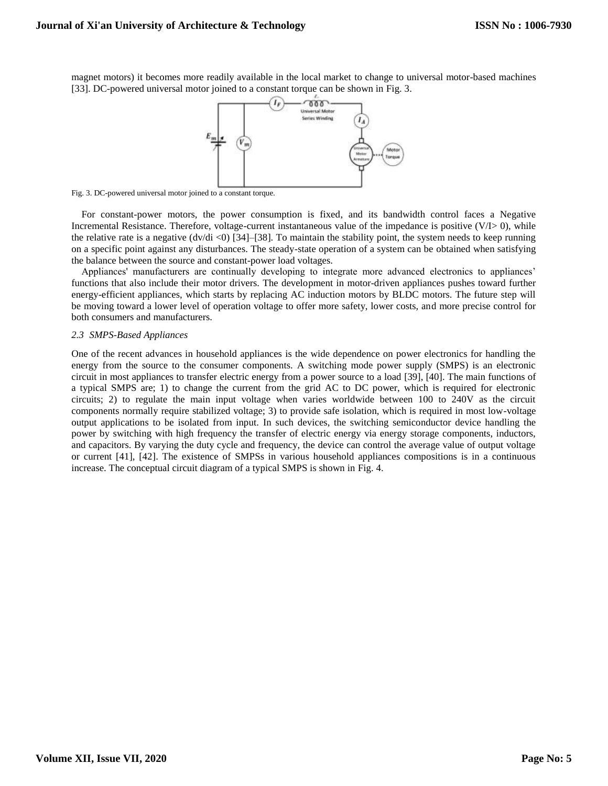magnet motors) it becomes more readily available in the local market to change to universal motor-based machines [33]. DC-powered universal motor joined to a constant torque can be shown in [Fig. 3.](#page-4-0)



<span id="page-4-0"></span>Fig. 3. DC-powered universal motor joined to a constant torque.

For constant-power motors, the power consumption is fixed, and its bandwidth control faces a Negative Incremental Resistance. Therefore, voltage-current instantaneous value of the impedance is positive (V/I> 0), while the relative rate is a negative  $(dv/di < 0)$  [34]–[38]. To maintain the stability point, the system needs to keep running on a specific point against any disturbances. The steady-state operation of a system can be obtained when satisfying the balance between the source and constant-power load voltages.

Appliances' manufacturers are continually developing to integrate more advanced electronics to appliances' functions that also include their motor drivers. The development in motor-driven appliances pushes toward further energy-efficient appliances, which starts by replacing AC induction motors by BLDC motors. The future step will be moving toward a lower level of operation voltage to offer more safety, lower costs, and more precise control for both consumers and manufacturers.

#### *2.3 SMPS-Based Appliances*

One of the recent advances in household appliances is the wide dependence on power electronics for handling the energy from the source to the consumer components. A switching mode power supply (SMPS) is an electronic circuit in most appliances to transfer electric energy from a power source to a load [39], [40]. The main functions of a typical SMPS are; 1) to change the current from the grid AC to DC power, which is required for electronic circuits; 2) to regulate the main input voltage when varies worldwide between 100 to 240V as the circuit components normally require stabilized voltage; 3) to provide safe isolation, which is required in most low-voltage output applications to be isolated from input. In such devices, the switching semiconductor device handling the power by switching with high frequency the transfer of electric energy via energy storage components, inductors, and capacitors. By varying the duty cycle and frequency, the device can control the average value of output voltage or current [41], [42]. The existence of SMPSs in various household appliances compositions is in a continuous increase. The conceptual circuit diagram of a typical SMPS is shown in [Fig. 4.](#page-5-0)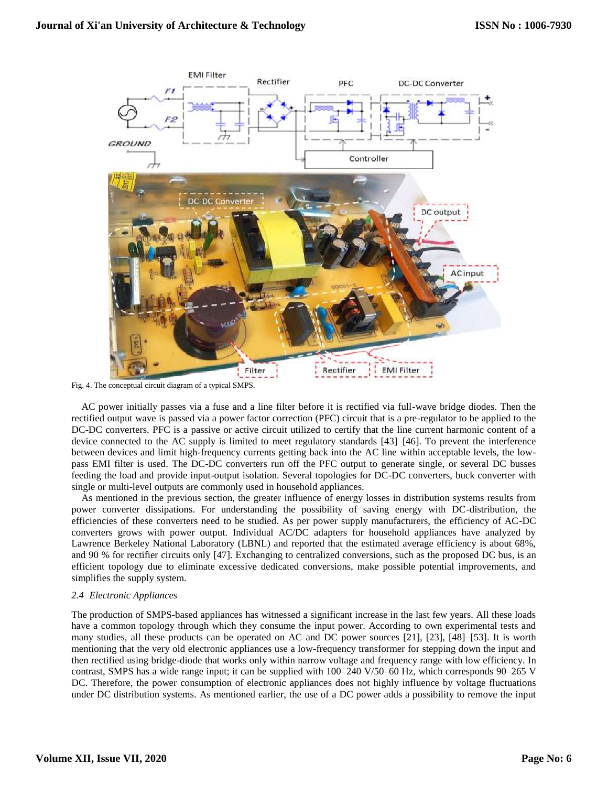

<span id="page-5-0"></span>Fig. 4. The conceptual circuit diagram of a typical SMPS.

AC power initially passes via a fuse and a line filter before it is rectified via full-wave bridge diodes. Then the rectified output wave is passed via a power factor correction (PFC) circuit that is a pre-regulator to be applied to the DC-DC converters. PFC is a passive or active circuit utilized to certify that the line current harmonic content of a device connected to the AC supply is limited to meet regulatory standards [43]–[46]. To prevent the interference between devices and limit high-frequency currents getting back into the AC line within acceptable levels, the lowpass EMI filter is used. The DC-DC converters run off the PFC output to generate single, or several DC busses feeding the load and provide input-output isolation. Several topologies for DC-DC converters, buck converter with single or multi-level outputs are commonly used in household appliances.

As mentioned in the previous section, the greater influence of energy losses in distribution systems results from power converter dissipations. For understanding the possibility of saving energy with DC-distribution, the efficiencies of these converters need to be studied. As per power supply manufacturers, the efficiency of AC-DC converters grows with power output. Individual AC/DC adapters for household appliances have analyzed by Lawrence Berkeley National Laboratory (LBNL) and reported that the estimated average efficiency is about 68%, and 90 % for rectifier circuits only [47]. Exchanging to centralized conversions, such as the proposed DC bus, is an efficient topology due to eliminate excessive dedicated conversions, make possible potential improvements, and simplifies the supply system.

# *2.4 Electronic Appliances*

The production of SMPS-based appliances has witnessed a significant increase in the last few years. All these loads have a common topology through which they consume the input power. According to own experimental tests and many studies, all these products can be operated on AC and DC power sources [21], [23], [48]–[53]. It is worth mentioning that the very old electronic appliances use a low-frequency transformer for stepping down the input and then rectified using bridge-diode that works only within narrow voltage and frequency range with low efficiency. In contrast, SMPS has a wide range input; it can be supplied with  $100-240 \text{ V}/50-60 \text{ Hz}$ , which corresponds  $90-265 \text{ V}$ DC. Therefore, the power consumption of electronic appliances does not highly influence by voltage fluctuations under DC distribution systems. As mentioned earlier, the use of a DC power adds a possibility to remove the input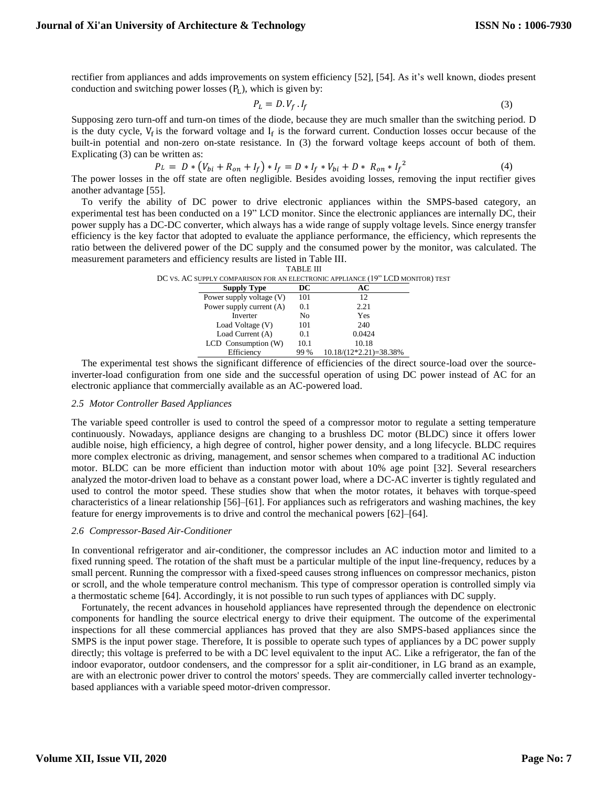rectifier from appliances and adds improvements on system efficiency [52], [54]. As it's well known, diodes present conduction and switching power losses  $(P_L)$ , which is given by:

$$
P_L = D.V_f.I_f \tag{3}
$$

Supposing zero turn-off and turn-on times of the diode, because they are much smaller than the switching period. D is the duty cycle,  $V_f$  is the forward voltage and  $I_f$  is the forward current. Conduction losses occur because of the built-in potential and non-zero on-state resistance. In (3) the forward voltage keeps account of both of them. Explicating (3) can be written as:

$$
P_L = D * (V_{bi} + R_{on} + I_f) * I_f = D * I_f * V_{bi} + D * R_{on} * I_f^2
$$
\n<sup>(4)</sup>

The power losses in the off state are often negligible. Besides avoiding losses, removing the input rectifier gives another advantage [55].

To verify the ability of DC power to drive electronic appliances within the SMPS-based category, an experimental test has been conducted on a 19" LCD monitor. Since the electronic appliances are internally DC, their power supply has a DC-DC converter, which always has a wide range of supply voltage levels. Since energy transfer efficiency is the key factor that adopted to evaluate the appliance performance, the efficiency, which represents the ratio between the delivered power of the DC supply and the consumed power by the monitor, was calculated. The measurement parameters and efficiency results are listed in Table III.

|                          | <b>TABLE III</b> |                                                                                |  |
|--------------------------|------------------|--------------------------------------------------------------------------------|--|
|                          |                  | DC VS. AC SUPPLY COMPARISON FOR AN ELECTRONIC APPLIANCE (19" LCD MONITOR) TEST |  |
| <b>Supply Type</b>       | DC.              | AС                                                                             |  |
| Power supply voltage (V) | 101              | 12                                                                             |  |
| Power supply current (A) | 0.1              | 2.21                                                                           |  |
| Inverter                 | N <sub>0</sub>   | Yes                                                                            |  |
| Load Voltage (V)         | 101              | 240                                                                            |  |
| Load Current (A)         | 0.1              | 0.0424                                                                         |  |
| LCD Consumption (W)      | 10.1             | 10.18                                                                          |  |
| Efficiency               | 99 %             | $10.18/(12*2.21)=38.38\%$                                                      |  |

The experimental test shows the significant difference of efficiencies of the direct source-load over the sourceinverter-load configuration from one side and the successful operation of using DC power instead of AC for an electronic appliance that commercially available as an AC-powered load.

#### *2.5 Motor Controller Based Appliances*

The variable speed controller is used to control the speed of a compressor motor to regulate a setting temperature continuously. Nowadays, appliance designs are changing to a brushless DC motor (BLDC) since it offers lower audible noise, high efficiency, a high degree of control, higher power density, and a long lifecycle. BLDC requires more complex electronic as driving, management, and sensor schemes when compared to a traditional AC induction motor. BLDC can be more efficient than induction motor with about 10% age point [32]. Several researchers analyzed the motor-driven load to behave as a constant power load, where a DC-AC inverter is tightly regulated and used to control the motor speed. These studies show that when the motor rotates, it behaves with torque-speed characteristics of a linear relationship [56]–[61]. For appliances such as refrigerators and washing machines, the key feature for energy improvements is to drive and control the mechanical powers [62]–[64].

# *2.6 Compressor-Based Air-Conditioner*

In conventional refrigerator and air-conditioner, the compressor includes an AC induction motor and limited to a fixed running speed. The rotation of the shaft must be a particular multiple of the input line-frequency, reduces by a small percent. Running the compressor with a fixed-speed causes strong influences on compressor mechanics, piston or scroll, and the whole temperature control mechanism. This type of compressor operation is controlled simply via a thermostatic scheme [64]. Accordingly, it is not possible to run such types of appliances with DC supply.

Fortunately, the recent advances in household appliances have represented through the dependence on electronic components for handling the source electrical energy to drive their equipment. The outcome of the experimental inspections for all these commercial appliances has proved that they are also SMPS-based appliances since the SMPS is the input power stage. Therefore, It is possible to operate such types of appliances by a DC power supply directly; this voltage is preferred to be with a DC level equivalent to the input AC. Like a refrigerator, the fan of the indoor evaporator, outdoor condensers, and the compressor for a split air-conditioner, in LG brand as an example, are with an electronic power driver to control the motors' speeds. They are commercially called inverter technologybased appliances with a variable speed motor-driven compressor.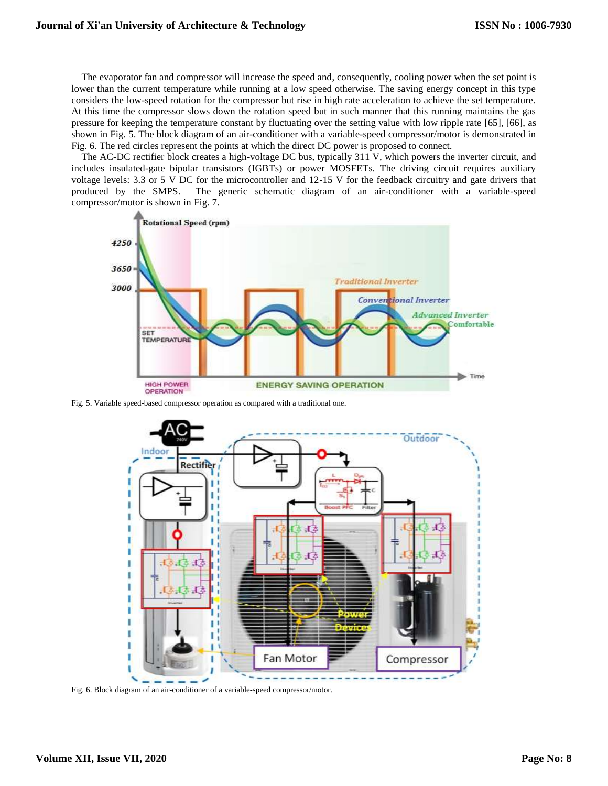The evaporator fan and compressor will increase the speed and, consequently, cooling power when the set point is lower than the current temperature while running at a low speed otherwise. The saving energy concept in this type considers the low-speed rotation for the compressor but rise in high rate acceleration to achieve the set temperature. At this time the compressor slows down the rotation speed but in such manner that this running maintains the gas pressure for keeping the temperature constant by fluctuating over the setting value with low ripple rate [65], [66], as shown in [Fig. 5.](#page-7-0) The block diagram of an air-conditioner with a variable-speed compressor/motor is demonstrated in [Fig. 6.](#page-7-1) The red circles represent the points at which the direct DC power is proposed to connect.

The AC-DC rectifier block creates a high-voltage DC bus, typically 311 V, which powers the inverter circuit, and includes insulated-gate bipolar transistors (IGBTs) or power MOSFETs. The driving circuit requires auxiliary voltage levels: 3.3 or 5 V DC for the microcontroller and 12-15 V for the feedback circuitry and gate drivers that produced by the SMPS. The generic schematic diagram of an air-conditioner with a variable-speed compressor/motor is shown in [Fig. 7.](#page-8-0)



<span id="page-7-0"></span>Fig. 5. Variable speed-based compressor operation as compared with a traditional one.



<span id="page-7-1"></span>Fig. 6. Block diagram of an air-conditioner of a variable-speed compressor/motor.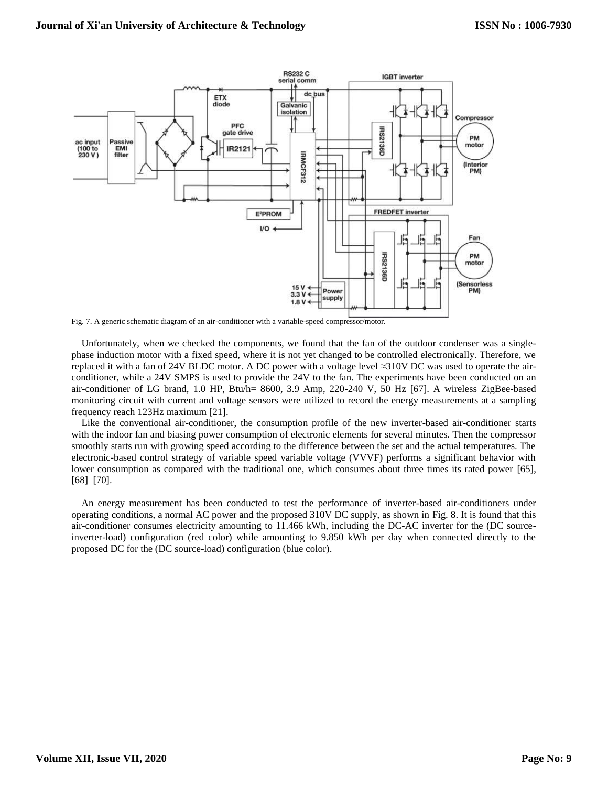

<span id="page-8-0"></span>Fig. 7. A generic schematic diagram of an air-conditioner with a variable-speed compressor/motor.

Unfortunately, when we checked the components, we found that the fan of the outdoor condenser was a singlephase induction motor with a fixed speed, where it is not yet changed to be controlled electronically. Therefore, we replaced it with a fan of 24V BLDC motor. A DC power with a voltage level ≈310V DC was used to operate the airconditioner, while a 24V SMPS is used to provide the 24V to the fan. The experiments have been conducted on an air-conditioner of LG brand, 1.0 HP, Btu/h= 8600, 3.9 Amp, 220-240 V, 50 Hz [67]. A wireless ZigBee-based monitoring circuit with current and voltage sensors were utilized to record the energy measurements at a sampling frequency reach 123Hz maximum [21].

Like the conventional air-conditioner, the consumption profile of the new inverter-based air-conditioner starts with the indoor fan and biasing power consumption of electronic elements for several minutes. Then the compressor smoothly starts run with growing speed according to the difference between the set and the actual temperatures. The electronic-based control strategy of variable speed variable voltage (VVVF) performs a significant behavior with lower consumption as compared with the traditional one, which consumes about three times its rated power [65], [68]–[70].

An energy measurement has been conducted to test the performance of inverter-based air-conditioners under operating conditions, a normal AC power and the proposed 310V DC supply, as shown in [Fig. 8.](#page-9-0) It is found that this air-conditioner consumes electricity amounting to 11.466 kWh, including the DC-AC inverter for the (DC sourceinverter-load) configuration (red color) while amounting to 9.850 kWh per day when connected directly to the proposed DC for the (DC source-load) configuration (blue color).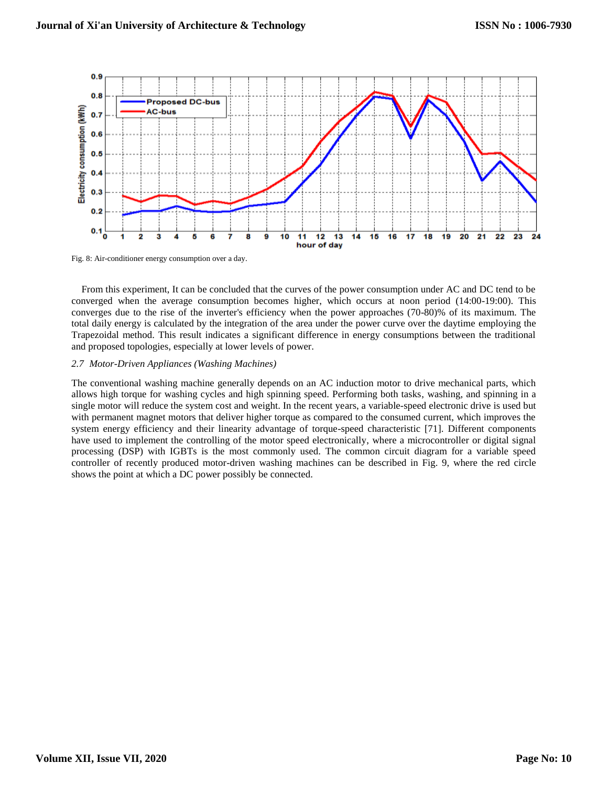

<span id="page-9-0"></span>Fig. 8: Air-conditioner energy consumption over a day.

From this experiment, It can be concluded that the curves of the power consumption under AC and DC tend to be converged when the average consumption becomes higher, which occurs at noon period (14:00-19:00). This converges due to the rise of the inverter's efficiency when the power approaches (70-80)% of its maximum. The total daily energy is calculated by the integration of the area under the power curve over the daytime employing the Trapezoidal method. This result indicates a significant difference in energy consumptions between the traditional and proposed topologies, especially at lower levels of power.

# *2.7 Motor-Driven Appliances (Washing Machines)*

The conventional washing machine generally depends on an AC induction motor to drive mechanical parts, which allows high torque for washing cycles and high spinning speed. Performing both tasks, washing, and spinning in a single motor will reduce the system cost and weight. In the recent years, a variable-speed electronic drive is used but with permanent magnet motors that deliver higher torque as compared to the consumed current, which improves the system energy efficiency and their linearity advantage of torque-speed characteristic [71]. Different components have used to implement the controlling of the motor speed electronically, where a microcontroller or digital signal processing (DSP) with IGBTs is the most commonly used. The common circuit diagram for a variable speed controller of recently produced motor-driven washing machines can be described in [Fig. 9,](#page-10-0) where the red circle shows the point at which a DC power possibly be connected.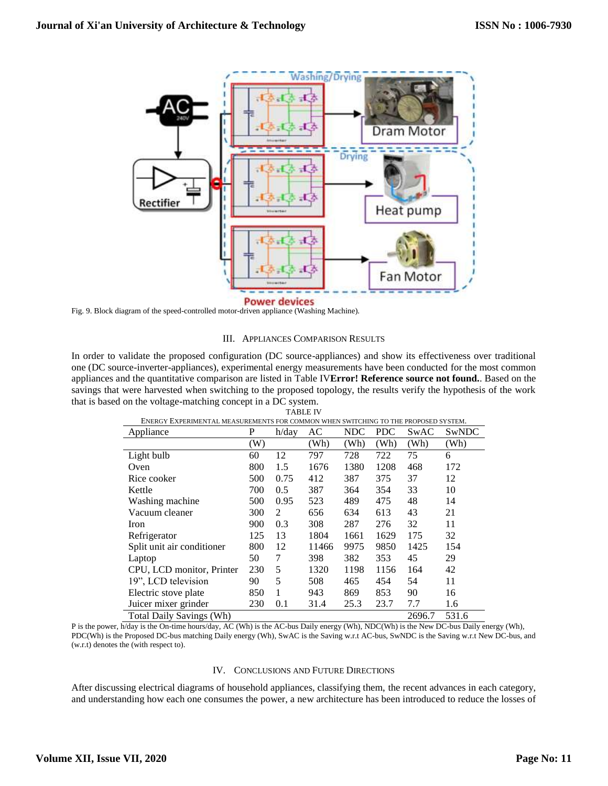

<span id="page-10-0"></span>Fig. 9. Block diagram of the speed-controlled motor-driven appliance (Washing Machine).

# III. APPLIANCES COMPARISON RESULTS

In order to validate the proposed configuration (DC source-appliances) and show its effectiveness over traditional one (DC source-inverter-appliances), experimental energy measurements have been conducted for the most common appliances and the quantitative comparison are listed in Table IV**Error! Reference source not found.**. Based on the savings that were harvested when switching to the proposed topology, the results verify the hypothesis of the work that is based on the voltage-matching concept in a DC system.

| ENERGY EXPERIMENTAL MEASUREMENTS FOR COMMON WHEN SWITCHING TO THE PROPOSED SYSTEM. |     |          |       |      |            |        |       |
|------------------------------------------------------------------------------------|-----|----------|-------|------|------------|--------|-------|
| Appliance                                                                          | P   | $h$ /day | AC    | NDC  | <b>PDC</b> | SwAC   | SwNDC |
|                                                                                    | (W) |          | (Wh)  | (Wh) | (Wh)       | (Wh)   | (Wh)  |
| Light bulb                                                                         | 60  | 12       | 797   | 728  | 722        | 75     | 6     |
| Oven                                                                               | 800 | 1.5      | 1676  | 1380 | 1208       | 468    | 172   |
| Rice cooker                                                                        | 500 | 0.75     | 412   | 387  | 375        | 37     | 12    |
| Kettle                                                                             | 700 | 0.5      | 387   | 364  | 354        | 33     | 10    |
| Washing machine                                                                    | 500 | 0.95     | 523   | 489  | 475        | 48     | 14    |
| Vacuum cleaner                                                                     | 300 | 2        | 656   | 634  | 613        | 43     | 21    |
| Iron                                                                               | 900 | 0.3      | 308   | 287  | 276        | 32     | 11    |
| Refrigerator                                                                       | 125 | 13       | 1804  | 1661 | 1629       | 175    | 32    |
| Split unit air conditioner                                                         | 800 | 12       | 11466 | 9975 | 9850       | 1425   | 154   |
| Laptop                                                                             | 50  | 7        | 398   | 382  | 353        | 45     | 29    |
| CPU, LCD monitor, Printer                                                          | 230 | 5        | 1320  | 1198 | 1156       | 164    | 42    |
| 19", LCD television                                                                | 90  | 5        | 508   | 465  | 454        | 54     | 11    |
| Electric stove plate                                                               | 850 | 1        | 943   | 869  | 853        | 90     | 16    |
| Juicer mixer grinder                                                               | 230 | 0.1      | 31.4  | 25.3 | 23.7       | 7.7    | 1.6   |
| <b>Total Daily Savings (Wh)</b>                                                    |     |          |       |      |            | 2696.7 | 531.6 |

TABLE IV ENERGY EXPERIMENTAL MEASUREMENTS FOR COMMON WHEN SWITCHING TO THE PROPOSED SYSTEM.

P is the power, h/day is the On-time hours/day, AC (Wh) is the AC-bus Daily energy (Wh), NDC(Wh) is the New DC-bus Daily energy (Wh), PDC(Wh) is the Proposed DC-bus matching Daily energy (Wh), SwAC is the Saving w.r.t AC-bus, SwNDC is the Saving w.r.t New DC-bus, and (w.r.t) denotes the (with respect to).

# IV. CONCLUSIONS AND FUTURE DIRECTIONS

After discussing electrical diagrams of household appliances, classifying them, the recent advances in each category, and understanding how each one consumes the power, a new architecture has been introduced to reduce the losses of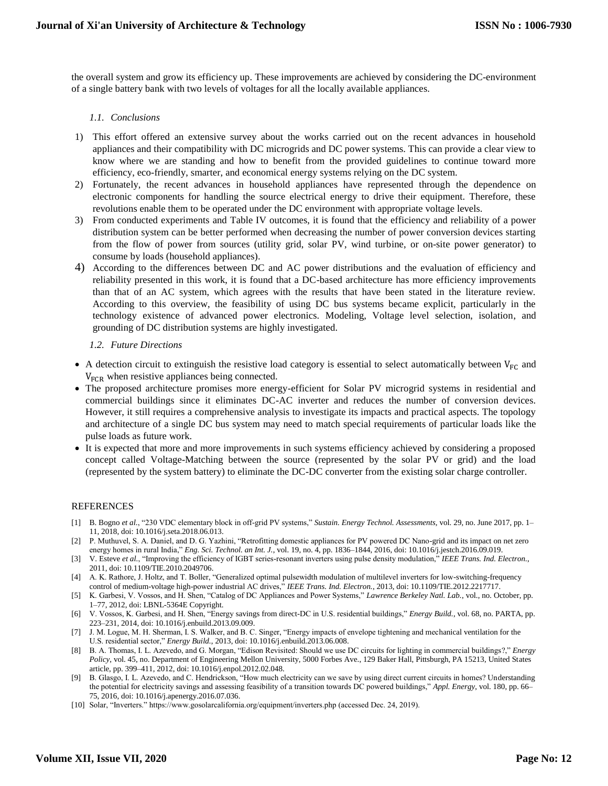the overall system and grow its efficiency up. These improvements are achieved by considering the DC-environment of a single battery bank with two levels of voltages for all the locally available appliances.

# *1.1. Conclusions*

- 1) This effort offered an extensive survey about the works carried out on the recent advances in household appliances and their compatibility with DC microgrids and DC power systems. This can provide a clear view to know where we are standing and how to benefit from the provided guidelines to continue toward more efficiency, eco-friendly, smarter, and economical energy systems relying on the DC system.
- 2) Fortunately, the recent advances in household appliances have represented through the dependence on electronic components for handling the source electrical energy to drive their equipment. Therefore, these revolutions enable them to be operated under the DC environment with appropriate voltage levels.
- 3) From conducted experiments and Table IV outcomes, it is found that the efficiency and reliability of a power distribution system can be better performed when decreasing the number of power conversion devices starting from the flow of power from sources (utility grid, solar PV, wind turbine, or on-site power generator) to consume by loads (household appliances).
- 4) According to the differences between DC and AC power distributions and the evaluation of efficiency and reliability presented in this work, it is found that a DC-based architecture has more efficiency improvements than that of an AC system, which agrees with the results that have been stated in the literature review. According to this overview, the feasibility of using DC bus systems became explicit, particularly in the technology existence of advanced power electronics. Modeling, Voltage level selection, isolation, and grounding of DC distribution systems are highly investigated.

# *1.2. Future Directions*

- A detection circuit to extinguish the resistive load category is essential to select automatically between  $V_{FC}$  and  $V_{FCR}$  when resistive appliances being connected.
- The proposed architecture promises more energy-efficient for Solar PV microgrid systems in residential and commercial buildings since it eliminates DC-AC inverter and reduces the number of conversion devices. However, it still requires a comprehensive analysis to investigate its impacts and practical aspects. The topology and architecture of a single DC bus system may need to match special requirements of particular loads like the pulse loads as future work.
- It is expected that more and more improvements in such systems efficiency achieved by considering a proposed concept called Voltage-Matching between the source (represented by the solar PV or grid) and the load (represented by the system battery) to eliminate the DC-DC converter from the existing solar charge controller.

# REFERENCES

- [1] B. Bogno *et al.*, "230 VDC elementary block in off-grid PV systems," *Sustain. Energy Technol. Assessments*, vol. 29, no. June 2017, pp. 1– 11, 2018, doi: 10.1016/j.seta.2018.06.013.
- [2] P. Muthuvel, S. A. Daniel, and D. G. Yazhini, "Retrofitting domestic appliances for PV powered DC Nano-grid and its impact on net zero energy homes in rural India," *Eng. Sci. Technol. an Int. J.*, vol. 19, no. 4, pp. 1836–1844, 2016, doi: 10.1016/j.jestch.2016.09.019.
- [3] V. Esteve *et al.*, "Improving the efficiency of IGBT series-resonant inverters using pulse density modulation," *IEEE Trans. Ind. Electron.*, 2011, doi: 10.1109/TIE.2010.2049706.
- [4] A. K. Rathore, J. Holtz, and T. Boller, "Generalized optimal pulsewidth modulation of multilevel inverters for low-switching-frequency control of medium-voltage high-power industrial AC drives," *IEEE Trans. Ind. Electron.*, 2013, doi: 10.1109/TIE.2012.2217717.
- [5] K. Garbesi, V. Vossos, and H. Shen, "Catalog of DC Appliances and Power Systems," *Lawrence Berkeley Natl. Lab.*, vol., no. October, pp. 1–77, 2012, doi: LBNL-5364E Copyright.
- [6] V. Vossos, K. Garbesi, and H. Shen, "Energy savings from direct-DC in U.S. residential buildings," *Energy Build.*, vol. 68, no. PARTA, pp. 223–231, 2014, doi: 10.1016/j.enbuild.2013.09.009.
- [7] J. M. Logue, M. H. Sherman, I. S. Walker, and B. C. Singer, "Energy impacts of envelope tightening and mechanical ventilation for the U.S. residential sector," *Energy Build.*, 2013, doi: 10.1016/j.enbuild.2013.06.008.
- [8] B. A. Thomas, I. L. Azevedo, and G. Morgan, "Edison Revisited: Should we use DC circuits for lighting in commercial buildings?," *Energy Policy*, vol. 45, no. Department of Engineering Mellon University, 5000 Forbes Ave., 129 Baker Hall, Pittsburgh, PA 15213, United States article, pp. 399–411, 2012, doi: 10.1016/j.enpol.2012.02.048.
- [9] B. Glasgo, I. L. Azevedo, and C. Hendrickson, "How much electricity can we save by using direct current circuits in homes? Understanding the potential for electricity savings and assessing feasibility of a transition towards DC powered buildings," *Appl. Energy*, vol. 180, pp. 66– 75, 2016, doi: 10.1016/j.apenergy.2016.07.036.
- [10] Solar, "Inverters." https://www.gosolarcalifornia.org/equipment/inverters.php (accessed Dec. 24, 2019).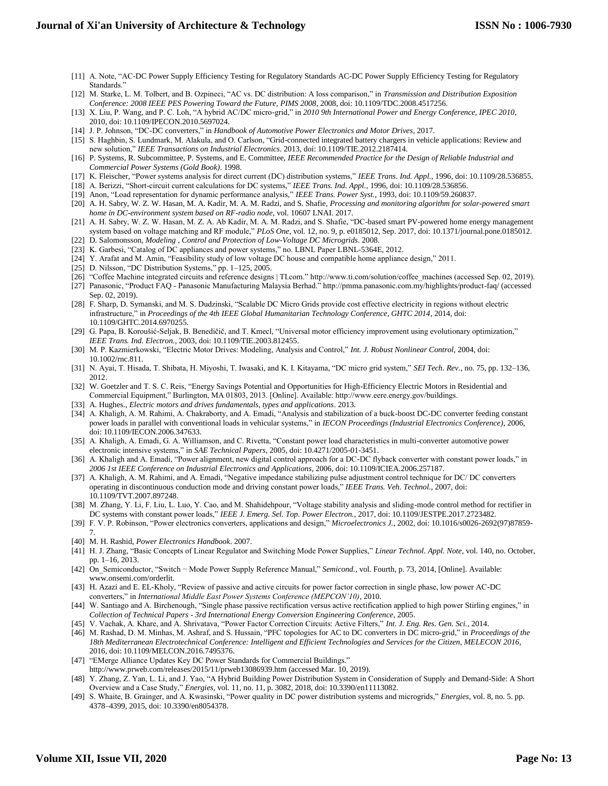- [11] A. Note, "AC-DC Power Supply Efficiency Testing for Regulatory Standards AC-DC Power Supply Efficiency Testing for Regulatory Standards."
- [12] M. Starke, L. M. Tolbert, and B. Ozpineci, "AC vs. DC distribution: A loss comparison," in *Transmission and Distribution Exposition Conference: 2008 IEEE PES Powering Toward the Future, PIMS 2008*, 2008, doi: 10.1109/TDC.2008.4517256.
- [13] X. Liu, P. Wang, and P. C. Loh, "A hybrid AC/DC micro-grid," in *2010 9th International Power and Energy Conference, IPEC 2010*, 2010, doi: 10.1109/IPECON.2010.5697024.
- [14] J. P. Johnson, "DC-DC converters," in *Handbook of Automotive Power Electronics and Motor Drives*, 2017.
- [15] S. Haghbin, S. Lundmark, M. Alakula, and O. Carlson, "Grid-connected integrated battery chargers in vehicle applications: Review and new solution," *IEEE Transactions on Industrial Electronics*. 2013, doi: 10.1109/TIE.2012.2187414.
- [16] P. Systems, R. Subcommittee, P. Systems, and E. Committee, *IEEE Recommended Practice for the Design of Reliable Industrial and Commercial Power Systems (Gold Book)*. 1998.
- [17] K. Fleischer, "Power systems analysis for direct current (DC) distribution systems," *IEEE Trans. Ind. Appl.*, 1996, doi: 10.1109/28.536855.
- [18] A. Berizzi, "Short-circuit current calculations for DC systems," *IEEE Trans. Ind. Appl.*, 1996, doi: 10.1109/28.536856.
- [19] Anon, "Load representation for dynamic performance analysis," *IEEE Trans. Power Syst.*, 1993, doi: 10.1109/59.260837.
- [20] A. H. Sabry, W. Z. W. Hasan, M. A. Kadir, M. A. M. Radzi, and S. Shafie, *Processing and monitoring algorithm for solar-powered smart home in DC-environment system based on RF-radio node*, vol. 10607 LNAI. 2017.
- [21] A. H. Sabry, W. Z. W. Hasan, M. Z. A. Ab Kadir, M. A. M. Radzi, and S. Shafie, "DC-based smart PV-powered home energy management system based on voltage matching and RF module," *PLoS One*, vol. 12, no. 9, p. e0185012, Sep. 2017, doi: 10.1371/journal.pone.0185012.
- [22] D. Salomonsson, *Modeling , Control and Protection of Low-Voltage DC Microgrids*. 2008. [23] K. Garbesi, "Catalog of DC appliances and power systems," no. LBNL Paper LBNL-5364E, 2012.
- [24] Y. Arafat and M. Amin, "Feasibility study of low voltage DC house and compatible home appliance design," 2011.
- [25] D. Nilsson, "DC Distribution Systems," pp. 1-125, 2005.
- [26] "Coffee Machine integrated circuits and reference designs | TI.com." http://www.ti.com/solution/coffee\_machines (accessed Sep. 02, 2019).
- [27] Panasonic, "Product FAQ Panasonic Manufacturing Malaysia Berhad." http://pmma.panasonic.com.my/highlights/product-faq/ (accessed Sep. 02, 2019).
- [28] F. Sharp, D. Symanski, and M. S. Dudzinski, "Scalable DC Micro Grids provide cost effective electricity in regions without electric infrastructure," in *Proceedings of the 4th IEEE Global Humanitarian Technology Conference, GHTC 2014*, 2014, doi: 10.1109/GHTC.2014.6970255.
- [29] G. Papa, B. Koroušić-Seljak, B. Benedičič, and T. Kmecl, "Universal motor efficiency improvement using evolutionary optimization," *IEEE Trans. Ind. Electron.*, 2003, doi: 10.1109/TIE.2003.812455.
- [30] M. P. Kazmierkowski, "Electric Motor Drives: Modeling, Analysis and Control," *Int. J. Robust Nonlinear Control*, 2004, doi: 10.1002/rnc.811.
- [31] N. Ayai, T. Hisada, T. Shibata, H. Miyoshi, T. Iwasaki, and K. I. Kitayama, "DC micro grid system," *SEI Tech. Rev.*, no. 75, pp. 132–136, 2012.
- [32] W. Goetzler and T. S. C. Reis, "Energy Savings Potential and Opportunities for High-Efficiency Electric Motors in Residential and Commercial Equipment," Burlington, MA 01803, 2013. [Online]. Available: http://www.eere.energy.gov/buildings.
- [33] A. Hughes., *Electric motors and drives fundamentals, types and applications*. 2013.
- [34] A. Khaligh, A. M. Rahimi, A. Chakraborty, and A. Emadi, "Analysis and stabilization of a buck-boost DC-DC converter feeding constant power loads in parallel with conventional loads in vehicular systems," in *IECON Proceedings (Industrial Electronics Conference)*, 2006, doi: 10.1109/IECON.2006.347633.
- [35] A. Khaligh, A. Emadi, G. A. Williamson, and C. Rivetta, "Constant power load characteristics in multi-converter automotive power electronic intensive systems," in *SAE Technical Papers*, 2005, doi: 10.4271/2005-01-3451.
- [36] A. Khaligh and A. Emadi, "Power alignment, new digital control approach for a DC-DC flyback converter with constant power loads," in *2006 1st IEEE Conference on Industrial Electronics and Applications*, 2006, doi: 10.1109/ICIEA.2006.257187.
- [37] A. Khaligh, A. M. Rahimi, and A. Emadi, "Negative impedance stabilizing pulse adjustment control technique for DC/ DC converters operating in discontinuous conduction mode and driving constant power loads," *IEEE Trans. Veh. Technol.*, 2007, doi: 10.1109/TVT.2007.897248.
- [38] M. Zhang, Y. Li, F. Liu, L. Luo, Y. Cao, and M. Shahidehpour, "Voltage stability analysis and sliding-mode control method for rectifier in DC systems with constant power loads," *IEEE J. Emerg. Sel. Top. Power Electron.*, 2017, doi: 10.1109/JESTPE.2017.2723482.
- [39] F. V. P. Robinson, "Power electronics converters, applications and design," *Microelectronics J.*, 2002, doi: 10.1016/s0026-2692(97)87859- 7.
- [40] M. H. Rashid, *Power Electronics Handbook*. 2007.
- [41] H. J. Zhang, "Basic Concepts of Linear Regulator and Switching Mode Power Supplies," *Linear Technol. Appl. Note*, vol. 140, no. October, pp. 1–16, 2013.
- [42] On\_Semiconductor, "Switch − Mode Power Supply Reference Manual," *Semicond.*, vol. Fourth, p. 73, 2014, [Online]. Available: www.onsemi.com/orderlit.
- [43] H. Azazi and E. EL-Kholy, "Review of passive and active circuits for power factor correction in single phase, low power AC-DC converters," in *International Middle East Power Systems Conference (MEPCON'10)*, 2010.
- [44] W. Santiago and A. Birchenough, "Single phase passive rectification versus active rectification applied to high power Stirling engines," in *Collection of Technical Papers - 3rd International Energy Conversion Engineering Conference*, 2005.
- [45] V. Vachak, A. Khare, and A. Shrivatava, "Power Factor Correction Circuits: Active Filters," *Int. J. Eng. Res. Gen. Sci.*, 2014.
- [46] M. Rashad, D. M. Minhas, M. Ashraf, and S. Hussain, "PFC topologies for AC to DC converters in DC micro-grid," in *Proceedings of the 18th Mediterranean Electrotechnical Conference: Intelligent and Efficient Technologies and Services for the Citizen, MELECON 2016*, 2016, doi: 10.1109/MELCON.2016.7495376.
- [47] "EMerge Alliance Updates Key DC Power Standards for Commercial Buildings." http://www.prweb.com/releases/2015/11/prweb13086939.htm (accessed Mar. 10, 2019).
- [48] Y. Zhang, Z. Yan, L. Li, and J. Yao, "A Hybrid Building Power Distribution System in Consideration of Supply and Demand-Side: A Short Overview and a Case Study," *Energies*, vol. 11, no. 11, p. 3082, 2018, doi: 10.3390/en11113082.
- [49] S. Whaite, B. Grainger, and A. Kwasinski, "Power quality in DC power distribution systems and microgrids," *Energies*, vol. 8, no. 5. pp. 4378–4399, 2015, doi: 10.3390/en8054378.